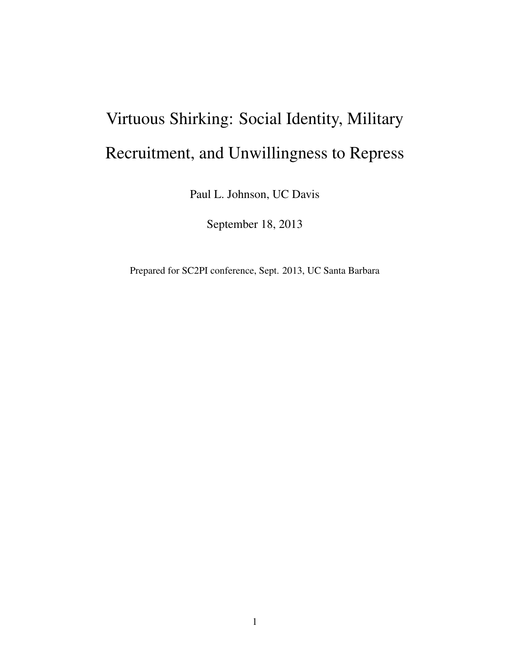# Virtuous Shirking: Social Identity, Military Recruitment, and Unwillingness to Repress

Paul L. Johnson, UC Davis

September 18, 2013

Prepared for SC2PI conference, Sept. 2013, UC Santa Barbara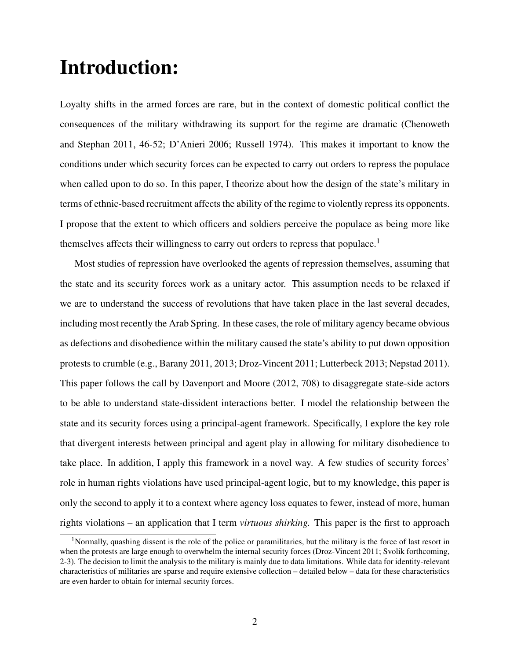# Introduction:

Loyalty shifts in the armed forces are rare, but in the context of domestic political conflict the consequences of the military withdrawing its support for the regime are dramatic (Chenoweth and Stephan 2011, 46-52; D'Anieri 2006; Russell 1974). This makes it important to know the conditions under which security forces can be expected to carry out orders to repress the populace when called upon to do so. In this paper, I theorize about how the design of the state's military in terms of ethnic-based recruitment affects the ability of the regime to violently repress its opponents. I propose that the extent to which officers and soldiers perceive the populace as being more like themselves affects their willingness to carry out orders to repress that populace.<sup>1</sup>

Most studies of repression have overlooked the agents of repression themselves, assuming that the state and its security forces work as a unitary actor. This assumption needs to be relaxed if we are to understand the success of revolutions that have taken place in the last several decades, including most recently the Arab Spring. In these cases, the role of military agency became obvious as defections and disobedience within the military caused the state's ability to put down opposition protests to crumble (e.g., Barany 2011, 2013; Droz-Vincent 2011; Lutterbeck 2013; Nepstad 2011). This paper follows the call by Davenport and Moore (2012, 708) to disaggregate state-side actors to be able to understand state-dissident interactions better. I model the relationship between the state and its security forces using a principal-agent framework. Specifically, I explore the key role that divergent interests between principal and agent play in allowing for military disobedience to take place. In addition, I apply this framework in a novel way. A few studies of security forces' role in human rights violations have used principal-agent logic, but to my knowledge, this paper is only the second to apply it to a context where agency loss equates to fewer, instead of more, human rights violations *–* an application that I term *virtuous shirking.* This paper is the first to approach

<sup>&</sup>lt;sup>1</sup>Normally, quashing dissent is the role of the police or paramilitaries, but the military is the force of last resort in when the protests are large enough to overwhelm the internal security forces (Droz-Vincent 2011; Svolik forthcoming, 2-3). The decision to limit the analysis to the military is mainly due to data limitations. While data for identity-relevant characteristics of militaries are sparse and require extensive collection – detailed below – data for these characteristics are even harder to obtain for internal security forces.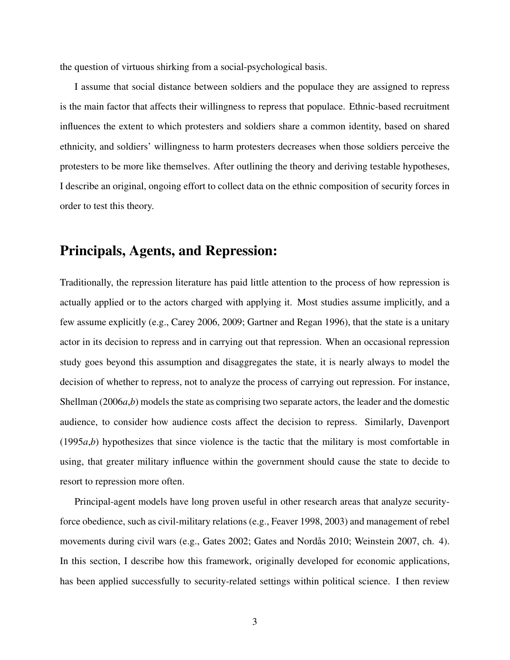the question of virtuous shirking from a social-psychological basis.

I assume that social distance between soldiers and the populace they are assigned to repress is the main factor that affects their willingness to repress that populace. Ethnic-based recruitment influences the extent to which protesters and soldiers share a common identity, based on shared ethnicity, and soldiers' willingness to harm protesters decreases when those soldiers perceive the protesters to be more like themselves. After outlining the theory and deriving testable hypotheses, I describe an original, ongoing effort to collect data on the ethnic composition of security forces in order to test this theory.

#### Principals, Agents, and Repression:

Traditionally, the repression literature has paid little attention to the process of how repression is actually applied or to the actors charged with applying it. Most studies assume implicitly, and a few assume explicitly (e.g., Carey 2006, 2009; Gartner and Regan 1996), that the state is a unitary actor in its decision to repress and in carrying out that repression. When an occasional repression study goes beyond this assumption and disaggregates the state, it is nearly always to model the decision of whether to repress, not to analyze the process of carrying out repression. For instance, Shellman (2006*a*,*b*) models the state as comprising two separate actors, the leader and the domestic audience, to consider how audience costs affect the decision to repress. Similarly, Davenport (1995*a*,*b*) hypothesizes that since violence is the tactic that the military is most comfortable in using, that greater military influence within the government should cause the state to decide to resort to repression more often.

Principal-agent models have long proven useful in other research areas that analyze securityforce obedience, such as civil-military relations (e.g., Feaver 1998, 2003) and management of rebel movements during civil wars (e.g., Gates 2002; Gates and Nordås 2010; Weinstein 2007, ch. 4). In this section, I describe how this framework, originally developed for economic applications, has been applied successfully to security-related settings within political science. I then review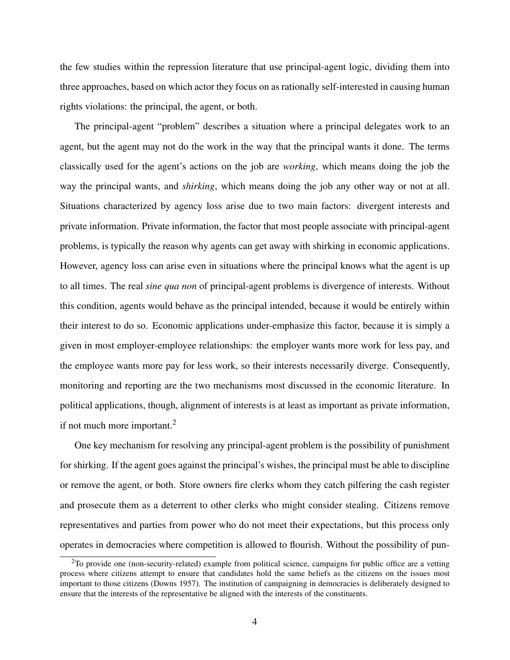the few studies within the repression literature that use principal-agent logic, dividing them into three approaches, based on which actor they focus on as rationally self-interested in causing human rights violations: the principal, the agent, or both.

The principal-agent "problem" describes a situation where a principal delegates work to an agent, but the agent may not do the work in the way that the principal wants it done. The terms classically used for the agent's actions on the job are *working*, which means doing the job the way the principal wants, and *shirking*, which means doing the job any other way or not at all. Situations characterized by agency loss arise due to two main factors: divergent interests and private information. Private information, the factor that most people associate with principal-agent problems, is typically the reason why agents can get away with shirking in economic applications. However, agency loss can arise even in situations where the principal knows what the agent is up to all times. The real *sine qua non* of principal-agent problems is divergence of interests. Without this condition, agents would behave as the principal intended, because it would be entirely within their interest to do so. Economic applications under-emphasize this factor, because it is simply a given in most employer-employee relationships: the employer wants more work for less pay, and the employee wants more pay for less work, so their interests necessarily diverge. Consequently, monitoring and reporting are the two mechanisms most discussed in the economic literature. In political applications, though, alignment of interests is at least as important as private information, if not much more important.<sup>2</sup>

One key mechanism for resolving any principal-agent problem is the possibility of punishment for shirking. If the agent goes against the principal's wishes, the principal must be able to discipline or remove the agent, or both. Store owners fire clerks whom they catch pilfering the cash register and prosecute them as a deterrent to other clerks who might consider stealing. Citizens remove representatives and parties from power who do not meet their expectations, but this process only operates in democracies where competition is allowed to flourish. Without the possibility of pun-

 $2$ To provide one (non-security-related) example from political science, campaigns for public office are a vetting process where citizens attempt to ensure that candidates hold the same beliefs as the citizens on the issues most important to those citizens (Downs 1957). The institution of campaigning in democracies is deliberately designed to ensure that the interests of the representative be aligned with the interests of the constituents.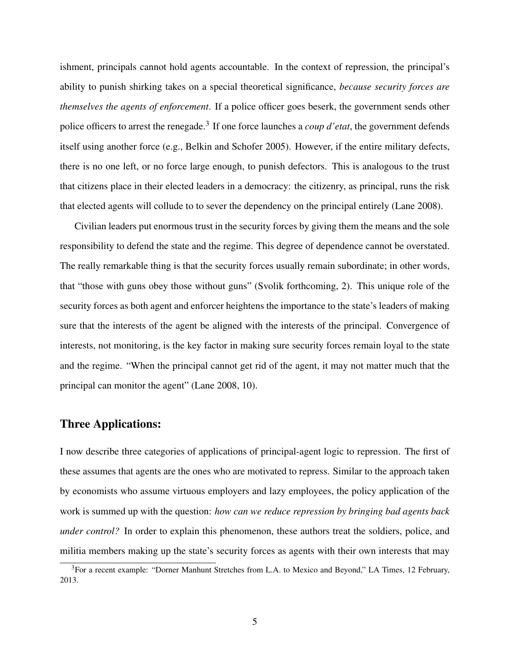ishment, principals cannot hold agents accountable. In the context of repression, the principal's ability to punish shirking takes on a special theoretical significance, *because security forces are themselves the agents of enforcement*. If a police officer goes beserk, the government sends other police officers to arrest the renegade.<sup>3</sup> If one force launches a *coup d'etat*, the government defends itself using another force (e.g., Belkin and Schofer 2005). However, if the entire military defects, there is no one left, or no force large enough, to punish defectors. This is analogous to the trust that citizens place in their elected leaders in a democracy: the citizenry, as principal, runs the risk that elected agents will collude to to sever the dependency on the principal entirely (Lane 2008).

Civilian leaders put enormous trust in the security forces by giving them the means and the sole responsibility to defend the state and the regime. This degree of dependence cannot be overstated. The really remarkable thing is that the security forces usually remain subordinate; in other words, that "those with guns obey those without guns" (Svolik forthcoming, 2). This unique role of the security forces as both agent and enforcer heightens the importance to the state's leaders of making sure that the interests of the agent be aligned with the interests of the principal. Convergence of interests, not monitoring, is the key factor in making sure security forces remain loyal to the state and the regime. "When the principal cannot get rid of the agent, it may not matter much that the principal can monitor the agent" (Lane 2008, 10).

#### Three Applications:

I now describe three categories of applications of principal-agent logic to repression. The first of these assumes that agents are the ones who are motivated to repress. Similar to the approach taken by economists who assume virtuous employers and lazy employees, the policy application of the work is summed up with the question: *how can we reduce repression by bringing bad agents back under control?* In order to explain this phenomenon, these authors treat the soldiers, police, and militia members making up the state's security forces as agents with their own interests that may

<sup>&</sup>lt;sup>3</sup>For a recent example: "Dorner Manhunt Stretches from L.A. to Mexico and Beyond," LA Times, 12 February, 2013.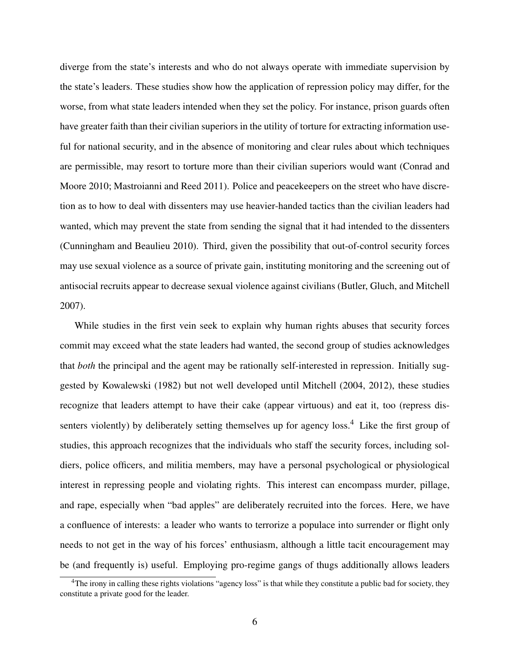diverge from the state's interests and who do not always operate with immediate supervision by the state's leaders. These studies show how the application of repression policy may differ, for the worse, from what state leaders intended when they set the policy. For instance, prison guards often have greater faith than their civilian superiors in the utility of torture for extracting information useful for national security, and in the absence of monitoring and clear rules about which techniques are permissible, may resort to torture more than their civilian superiors would want (Conrad and Moore 2010; Mastroianni and Reed 2011). Police and peacekeepers on the street who have discretion as to how to deal with dissenters may use heavier-handed tactics than the civilian leaders had wanted, which may prevent the state from sending the signal that it had intended to the dissenters (Cunningham and Beaulieu 2010). Third, given the possibility that out-of-control security forces may use sexual violence as a source of private gain, instituting monitoring and the screening out of antisocial recruits appear to decrease sexual violence against civilians (Butler, Gluch, and Mitchell 2007).

While studies in the first vein seek to explain why human rights abuses that security forces commit may exceed what the state leaders had wanted, the second group of studies acknowledges that *both* the principal and the agent may be rationally self-interested in repression. Initially suggested by Kowalewski (1982) but not well developed until Mitchell (2004, 2012), these studies recognize that leaders attempt to have their cake (appear virtuous) and eat it, too (repress dissenters violently) by deliberately setting themselves up for agency loss.<sup>4</sup> Like the first group of studies, this approach recognizes that the individuals who staff the security forces, including soldiers, police officers, and militia members, may have a personal psychological or physiological interest in repressing people and violating rights. This interest can encompass murder, pillage, and rape, especially when "bad apples" are deliberately recruited into the forces. Here, we have a confluence of interests: a leader who wants to terrorize a populace into surrender or flight only needs to not get in the way of his forces' enthusiasm, although a little tacit encouragement may be (and frequently is) useful. Employing pro-regime gangs of thugs additionally allows leaders

<sup>&</sup>lt;sup>4</sup>The irony in calling these rights violations "agency loss" is that while they constitute a public bad for society, they constitute a private good for the leader.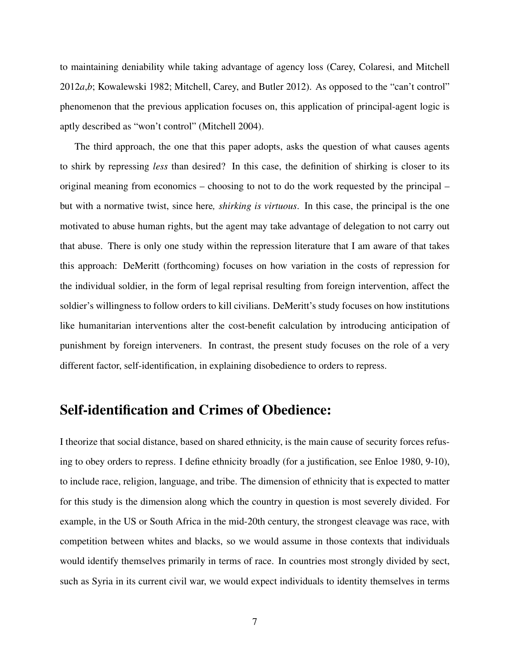to maintaining deniability while taking advantage of agency loss (Carey, Colaresi, and Mitchell 2012*a*,*b*; Kowalewski 1982; Mitchell, Carey, and Butler 2012). As opposed to the "can't control" phenomenon that the previous application focuses on, this application of principal-agent logic is aptly described as "won't control" (Mitchell 2004).

The third approach, the one that this paper adopts, asks the question of what causes agents to shirk by repressing *less* than desired? In this case, the definition of shirking is closer to its original meaning from economics – choosing to not to do the work requested by the principal – but with a normative twist, since here*, shirking is virtuous*. In this case, the principal is the one motivated to abuse human rights, but the agent may take advantage of delegation to not carry out that abuse. There is only one study within the repression literature that I am aware of that takes this approach: DeMeritt (forthcoming) focuses on how variation in the costs of repression for the individual soldier, in the form of legal reprisal resulting from foreign intervention, affect the soldier's willingness to follow orders to kill civilians. DeMeritt's study focuses on how institutions like humanitarian interventions alter the cost-benefit calculation by introducing anticipation of punishment by foreign interveners. In contrast, the present study focuses on the role of a very different factor, self-identification, in explaining disobedience to orders to repress.

# Self-identification and Crimes of Obedience:

I theorize that social distance, based on shared ethnicity, is the main cause of security forces refusing to obey orders to repress. I define ethnicity broadly (for a justification, see Enloe 1980, 9-10), to include race, religion, language, and tribe. The dimension of ethnicity that is expected to matter for this study is the dimension along which the country in question is most severely divided. For example, in the US or South Africa in the mid-20th century, the strongest cleavage was race, with competition between whites and blacks, so we would assume in those contexts that individuals would identify themselves primarily in terms of race. In countries most strongly divided by sect, such as Syria in its current civil war, we would expect individuals to identity themselves in terms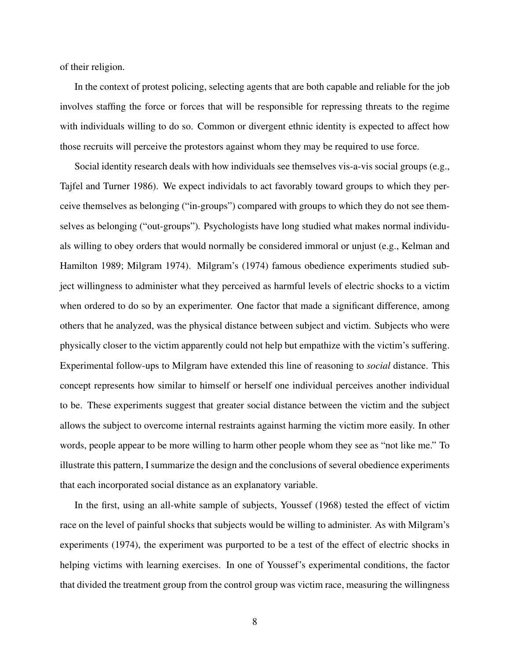of their religion.

In the context of protest policing, selecting agents that are both capable and reliable for the job involves staffing the force or forces that will be responsible for repressing threats to the regime with individuals willing to do so. Common or divergent ethnic identity is expected to affect how those recruits will perceive the protestors against whom they may be required to use force.

Social identity research deals with how individuals see themselves vis-a-vis social groups (e.g., Tajfel and Turner 1986). We expect individals to act favorably toward groups to which they perceive themselves as belonging ("in-groups") compared with groups to which they do not see themselves as belonging ("out-groups")*.* Psychologists have long studied what makes normal individuals willing to obey orders that would normally be considered immoral or unjust (e.g., Kelman and Hamilton 1989; Milgram 1974). Milgram's (1974) famous obedience experiments studied subject willingness to administer what they perceived as harmful levels of electric shocks to a victim when ordered to do so by an experimenter. One factor that made a significant difference, among others that he analyzed, was the physical distance between subject and victim. Subjects who were physically closer to the victim apparently could not help but empathize with the victim's suffering. Experimental follow-ups to Milgram have extended this line of reasoning to *social* distance. This concept represents how similar to himself or herself one individual perceives another individual to be. These experiments suggest that greater social distance between the victim and the subject allows the subject to overcome internal restraints against harming the victim more easily. In other words, people appear to be more willing to harm other people whom they see as "not like me." To illustrate this pattern, I summarize the design and the conclusions of several obedience experiments that each incorporated social distance as an explanatory variable.

In the first, using an all-white sample of subjects, Youssef (1968) tested the effect of victim race on the level of painful shocks that subjects would be willing to administer. As with Milgram's experiments (1974), the experiment was purported to be a test of the effect of electric shocks in helping victims with learning exercises. In one of Youssef's experimental conditions, the factor that divided the treatment group from the control group was victim race, measuring the willingness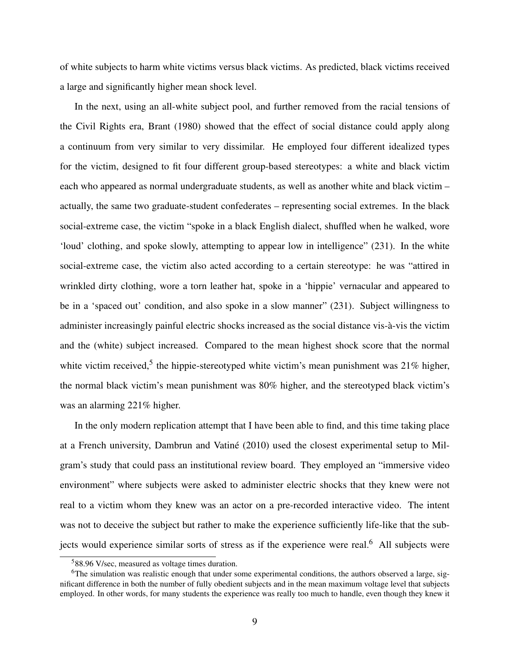of white subjects to harm white victims versus black victims. As predicted, black victims received a large and significantly higher mean shock level.

In the next, using an all-white subject pool, and further removed from the racial tensions of the Civil Rights era, Brant (1980) showed that the effect of social distance could apply along a continuum from very similar to very dissimilar. He employed four different idealized types for the victim, designed to fit four different group-based stereotypes: a white and black victim each who appeared as normal undergraduate students, as well as another white and black victim – actually, the same two graduate-student confederates – representing social extremes. In the black social-extreme case, the victim "spoke in a black English dialect, shuffled when he walked, wore 'loud' clothing, and spoke slowly, attempting to appear low in intelligence" (231). In the white social-extreme case, the victim also acted according to a certain stereotype: he was "attired in wrinkled dirty clothing, wore a torn leather hat, spoke in a 'hippie' vernacular and appeared to be in a 'spaced out' condition, and also spoke in a slow manner" (231). Subject willingness to administer increasingly painful electric shocks increased as the social distance vis-à-vis the victim and the (white) subject increased. Compared to the mean highest shock score that the normal white victim received,<sup>5</sup> the hippie-stereotyped white victim's mean punishment was  $21\%$  higher, the normal black victim's mean punishment was 80% higher, and the stereotyped black victim's was an alarming 221% higher.

In the only modern replication attempt that I have been able to find, and this time taking place at a French university, Dambrun and Vatiné (2010) used the closest experimental setup to Milgram's study that could pass an institutional review board. They employed an "immersive video environment" where subjects were asked to administer electric shocks that they knew were not real to a victim whom they knew was an actor on a pre-recorded interactive video. The intent was not to deceive the subject but rather to make the experience sufficiently life-like that the subjects would experience similar sorts of stress as if the experience were real.<sup>6</sup> All subjects were

<sup>5</sup>88.96 V/sec, measured as voltage times duration.

<sup>&</sup>lt;sup>6</sup>The simulation was realistic enough that under some experimental conditions, the authors observed a large, significant difference in both the number of fully obedient subjects and in the mean maximum voltage level that subjects employed. In other words, for many students the experience was really too much to handle, even though they knew it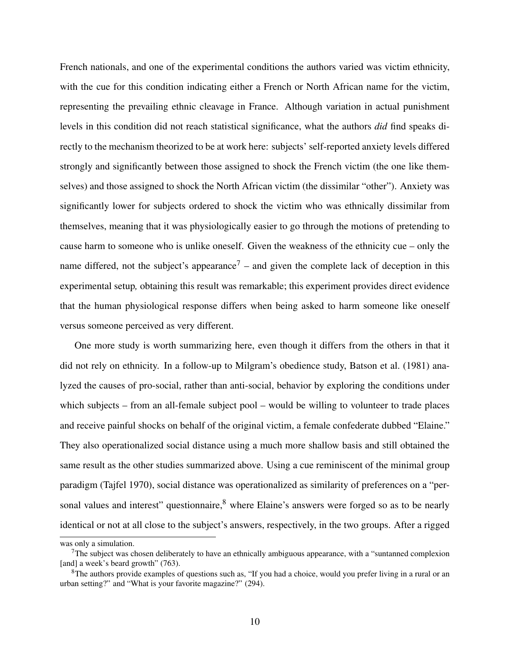French nationals, and one of the experimental conditions the authors varied was victim ethnicity, with the cue for this condition indicating either a French or North African name for the victim, representing the prevailing ethnic cleavage in France. Although variation in actual punishment levels in this condition did not reach statistical significance, what the authors *did* find speaks directly to the mechanism theorized to be at work here: subjects' self-reported anxiety levels differed strongly and significantly between those assigned to shock the French victim (the one like themselves) and those assigned to shock the North African victim (the dissimilar "other"). Anxiety was significantly lower for subjects ordered to shock the victim who was ethnically dissimilar from themselves, meaning that it was physiologically easier to go through the motions of pretending to cause harm to someone who is unlike oneself. Given the weakness of the ethnicity cue – only the name differed, not the subject's appearance<sup>7</sup> – and given the complete lack of deception in this experimental setup*,* obtaining this result was remarkable; this experiment provides direct evidence that the human physiological response differs when being asked to harm someone like oneself versus someone perceived as very different.

One more study is worth summarizing here, even though it differs from the others in that it did not rely on ethnicity. In a follow-up to Milgram's obedience study, Batson et al. (1981) analyzed the causes of pro-social, rather than anti-social, behavior by exploring the conditions under which subjects – from an all-female subject pool – would be willing to volunteer to trade places and receive painful shocks on behalf of the original victim, a female confederate dubbed "Elaine." They also operationalized social distance using a much more shallow basis and still obtained the same result as the other studies summarized above. Using a cue reminiscent of the minimal group paradigm (Tajfel 1970), social distance was operationalized as similarity of preferences on a "personal values and interest" questionnaire,<sup>8</sup> where Elaine's answers were forged so as to be nearly identical or not at all close to the subject's answers, respectively, in the two groups. After a rigged

was only a simulation.

 $7$ The subject was chosen deliberately to have an ethnically ambiguous appearance, with a "suntanned complexion" [and] a week's beard growth" (763).

 $8$ The authors provide examples of questions such as, "If you had a choice, would you prefer living in a rural or an urban setting?" and "What is your favorite magazine?" (294).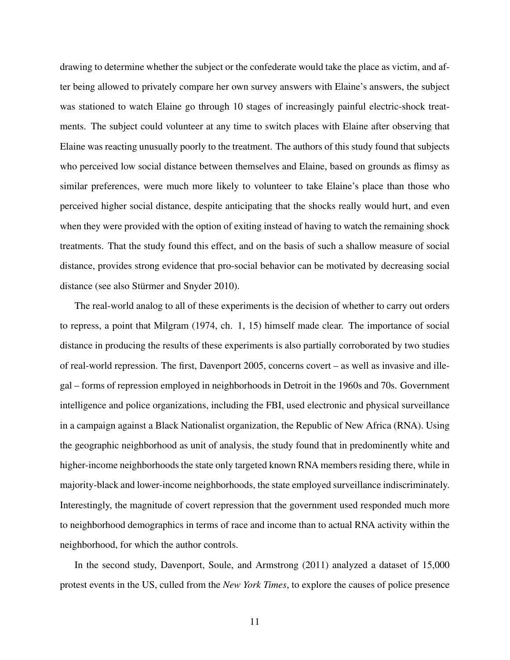drawing to determine whether the subject or the confederate would take the place as victim, and after being allowed to privately compare her own survey answers with Elaine's answers, the subject was stationed to watch Elaine go through 10 stages of increasingly painful electric-shock treatments. The subject could volunteer at any time to switch places with Elaine after observing that Elaine was reacting unusually poorly to the treatment. The authors of this study found that subjects who perceived low social distance between themselves and Elaine, based on grounds as flimsy as similar preferences, were much more likely to volunteer to take Elaine's place than those who perceived higher social distance, despite anticipating that the shocks really would hurt, and even when they were provided with the option of exiting instead of having to watch the remaining shock treatments. That the study found this effect, and on the basis of such a shallow measure of social distance, provides strong evidence that pro-social behavior can be motivated by decreasing social distance (see also Stürmer and Snyder 2010).

The real-world analog to all of these experiments is the decision of whether to carry out orders to repress, a point that Milgram (1974, ch. 1, 15) himself made clear. The importance of social distance in producing the results of these experiments is also partially corroborated by two studies of real-world repression. The first, Davenport 2005, concerns covert – as well as invasive and illegal – forms of repression employed in neighborhoods in Detroit in the 1960s and 70s. Government intelligence and police organizations, including the FBI, used electronic and physical surveillance in a campaign against a Black Nationalist organization, the Republic of New Africa (RNA). Using the geographic neighborhood as unit of analysis, the study found that in predominently white and higher-income neighborhoods the state only targeted known RNA members residing there, while in majority-black and lower-income neighborhoods, the state employed surveillance indiscriminately. Interestingly, the magnitude of covert repression that the government used responded much more to neighborhood demographics in terms of race and income than to actual RNA activity within the neighborhood, for which the author controls.

In the second study, Davenport, Soule, and Armstrong (2011) analyzed a dataset of 15,000 protest events in the US, culled from the *New York Times*, to explore the causes of police presence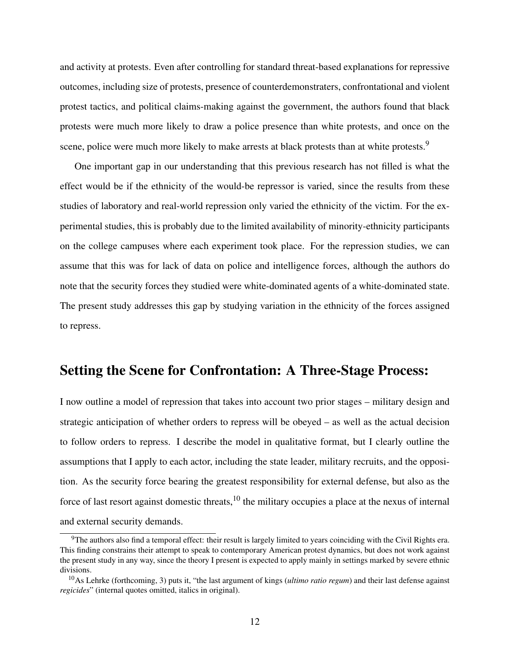and activity at protests. Even after controlling for standard threat-based explanations for repressive outcomes, including size of protests, presence of counterdemonstraters, confrontational and violent protest tactics, and political claims-making against the government, the authors found that black protests were much more likely to draw a police presence than white protests, and once on the scene, police were much more likely to make arrests at black protests than at white protests.<sup>9</sup>

One important gap in our understanding that this previous research has not filled is what the effect would be if the ethnicity of the would-be repressor is varied, since the results from these studies of laboratory and real-world repression only varied the ethnicity of the victim. For the experimental studies, this is probably due to the limited availability of minority-ethnicity participants on the college campuses where each experiment took place. For the repression studies, we can assume that this was for lack of data on police and intelligence forces, although the authors do note that the security forces they studied were white-dominated agents of a white-dominated state. The present study addresses this gap by studying variation in the ethnicity of the forces assigned to repress.

#### Setting the Scene for Confrontation: A Three-Stage Process:

I now outline a model of repression that takes into account two prior stages – military design and strategic anticipation of whether orders to repress will be obeyed – as well as the actual decision to follow orders to repress. I describe the model in qualitative format, but I clearly outline the assumptions that I apply to each actor, including the state leader, military recruits, and the opposition. As the security force bearing the greatest responsibility for external defense, but also as the force of last resort against domestic threats, $10$  the military occupies a place at the nexus of internal and external security demands.

<sup>&</sup>lt;sup>9</sup>The authors also find a temporal effect: their result is largely limited to years coinciding with the Civil Rights era. This finding constrains their attempt to speak to contemporary American protest dynamics, but does not work against the present study in any way, since the theory I present is expected to apply mainly in settings marked by severe ethnic divisions.

<sup>10</sup>As Lehrke (forthcoming, 3) puts it, "the last argument of kings (*ultimo ratio regum*) and their last defense against *regicides*" (internal quotes omitted, italics in original).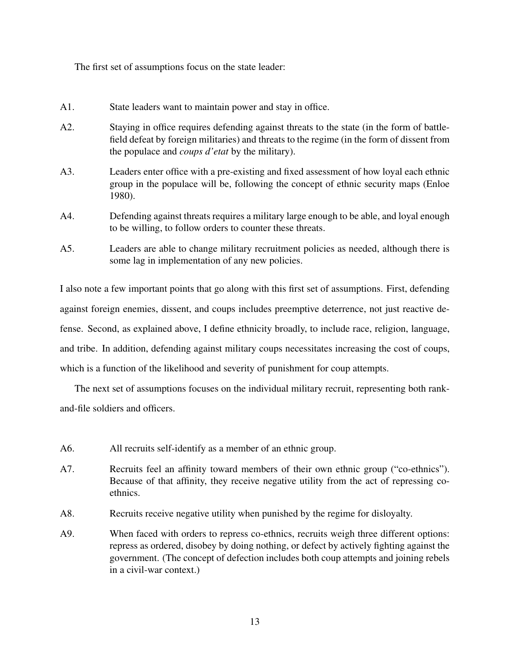The first set of assumptions focus on the state leader:

- A1. State leaders want to maintain power and stay in office.
- A2. Staying in office requires defending against threats to the state (in the form of battlefield defeat by foreign militaries) and threats to the regime (in the form of dissent from the populace and *coups d'etat* by the military).
- A3. Leaders enter office with a pre-existing and fixed assessment of how loyal each ethnic group in the populace will be, following the concept of ethnic security maps (Enloe 1980).
- A4. Defending against threats requires a military large enough to be able, and loyal enough to be willing, to follow orders to counter these threats.
- A5. Leaders are able to change military recruitment policies as needed, although there is some lag in implementation of any new policies.

I also note a few important points that go along with this first set of assumptions. First, defending against foreign enemies, dissent, and coups includes preemptive deterrence, not just reactive defense. Second, as explained above, I define ethnicity broadly, to include race, religion, language, and tribe. In addition, defending against military coups necessitates increasing the cost of coups, which is a function of the likelihood and severity of punishment for coup attempts.

The next set of assumptions focuses on the individual military recruit, representing both rankand-file soldiers and officers.

- A6. All recruits self-identify as a member of an ethnic group.
- A7. Recruits feel an affinity toward members of their own ethnic group ("co-ethnics"). Because of that affinity, they receive negative utility from the act of repressing coethnics.
- A8. Recruits receive negative utility when punished by the regime for disloyalty.
- A9. When faced with orders to repress co-ethnics, recruits weigh three different options: repress as ordered, disobey by doing nothing, or defect by actively fighting against the government. (The concept of defection includes both coup attempts and joining rebels in a civil-war context.)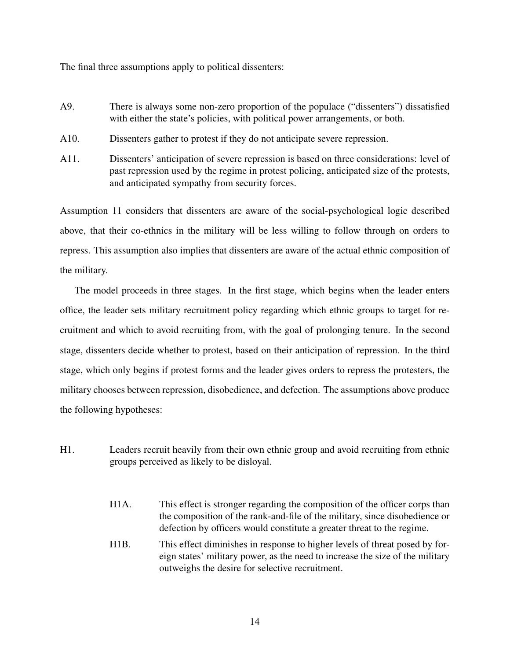The final three assumptions apply to political dissenters:

- A9. There is always some non-zero proportion of the populace ("dissenters") dissatisfied with either the state's policies, with political power arrangements, or both.
- A10. Dissenters gather to protest if they do not anticipate severe repression.
- A11. Dissenters' anticipation of severe repression is based on three considerations: level of past repression used by the regime in protest policing, anticipated size of the protests, and anticipated sympathy from security forces.

Assumption 11 considers that dissenters are aware of the social-psychological logic described above, that their co-ethnics in the military will be less willing to follow through on orders to repress. This assumption also implies that dissenters are aware of the actual ethnic composition of the military.

The model proceeds in three stages. In the first stage, which begins when the leader enters office, the leader sets military recruitment policy regarding which ethnic groups to target for recruitment and which to avoid recruiting from, with the goal of prolonging tenure. In the second stage, dissenters decide whether to protest, based on their anticipation of repression. In the third stage, which only begins if protest forms and the leader gives orders to repress the protesters, the military chooses between repression, disobedience, and defection. The assumptions above produce the following hypotheses:

- H1. Leaders recruit heavily from their own ethnic group and avoid recruiting from ethnic groups perceived as likely to be disloyal.
	- H1A. This effect is stronger regarding the composition of the officer corps than the composition of the rank-and-file of the military, since disobedience or defection by officers would constitute a greater threat to the regime.
	- H1B. This effect diminishes in response to higher levels of threat posed by foreign states' military power, as the need to increase the size of the military outweighs the desire for selective recruitment.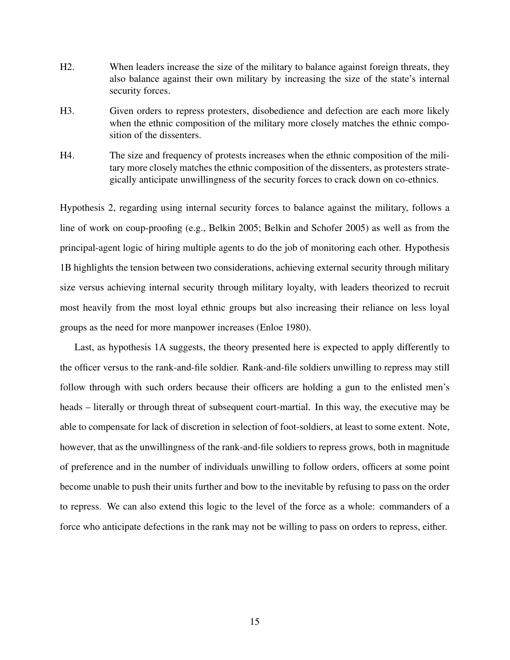- H2. When leaders increase the size of the military to balance against foreign threats, they also balance against their own military by increasing the size of the state's internal security forces.
- H3. Given orders to repress protesters, disobedience and defection are each more likely when the ethnic composition of the military more closely matches the ethnic composition of the dissenters.
- H4. The size and frequency of protests increases when the ethnic composition of the military more closely matches the ethnic composition of the dissenters, as protesters strategically anticipate unwillingness of the security forces to crack down on co-ethnics.

Hypothesis 2, regarding using internal security forces to balance against the military, follows a line of work on coup-proofing (e.g., Belkin 2005; Belkin and Schofer 2005) as well as from the principal-agent logic of hiring multiple agents to do the job of monitoring each other. Hypothesis 1B highlights the tension between two considerations, achieving external security through military size versus achieving internal security through military loyalty, with leaders theorized to recruit most heavily from the most loyal ethnic groups but also increasing their reliance on less loyal groups as the need for more manpower increases (Enloe 1980).

Last, as hypothesis 1A suggests, the theory presented here is expected to apply differently to the officer versus to the rank-and-file soldier. Rank-and-file soldiers unwilling to repress may still follow through with such orders because their officers are holding a gun to the enlisted men's heads – literally or through threat of subsequent court-martial. In this way, the executive may be able to compensate for lack of discretion in selection of foot-soldiers, at least to some extent. Note, however, that as the unwillingness of the rank-and-file soldiers to repress grows, both in magnitude of preference and in the number of individuals unwilling to follow orders, officers at some point become unable to push their units further and bow to the inevitable by refusing to pass on the order to repress. We can also extend this logic to the level of the force as a whole: commanders of a force who anticipate defections in the rank may not be willing to pass on orders to repress, either.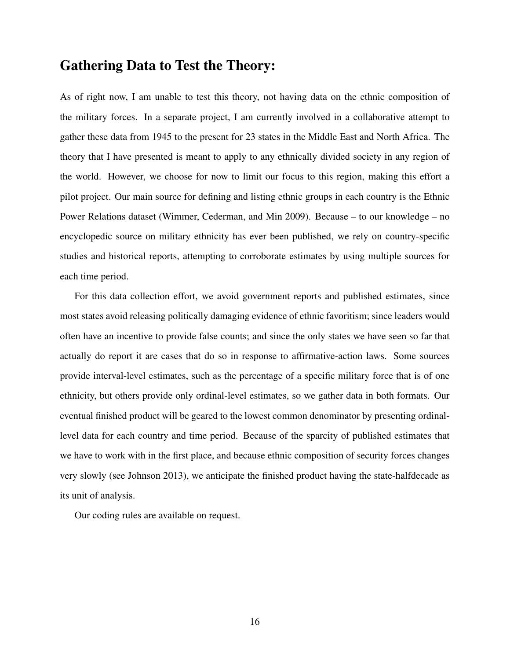### Gathering Data to Test the Theory:

As of right now, I am unable to test this theory, not having data on the ethnic composition of the military forces. In a separate project, I am currently involved in a collaborative attempt to gather these data from 1945 to the present for 23 states in the Middle East and North Africa. The theory that I have presented is meant to apply to any ethnically divided society in any region of the world. However, we choose for now to limit our focus to this region, making this effort a pilot project. Our main source for defining and listing ethnic groups in each country is the Ethnic Power Relations dataset (Wimmer, Cederman, and Min 2009). Because – to our knowledge – no encyclopedic source on military ethnicity has ever been published, we rely on country-specific studies and historical reports, attempting to corroborate estimates by using multiple sources for each time period.

For this data collection effort, we avoid government reports and published estimates, since most states avoid releasing politically damaging evidence of ethnic favoritism; since leaders would often have an incentive to provide false counts; and since the only states we have seen so far that actually do report it are cases that do so in response to affirmative-action laws. Some sources provide interval-level estimates, such as the percentage of a specific military force that is of one ethnicity, but others provide only ordinal-level estimates, so we gather data in both formats. Our eventual finished product will be geared to the lowest common denominator by presenting ordinallevel data for each country and time period. Because of the sparcity of published estimates that we have to work with in the first place, and because ethnic composition of security forces changes very slowly (see Johnson 2013), we anticipate the finished product having the state-halfdecade as its unit of analysis.

Our coding rules are available on request.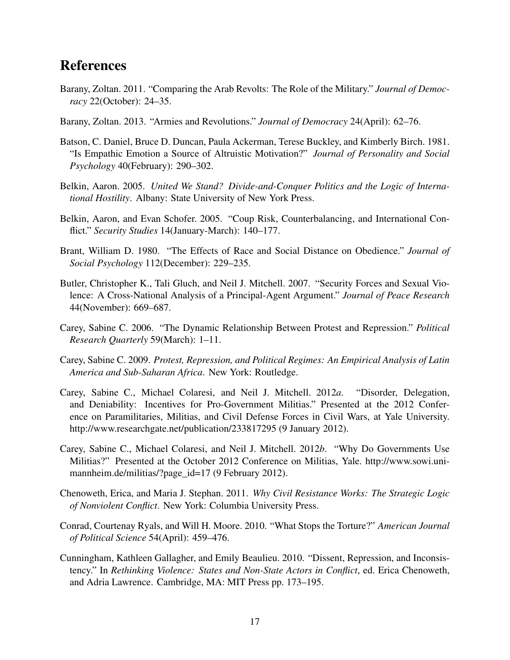# References

- Barany, Zoltan. 2011. "Comparing the Arab Revolts: The Role of the Military." *Journal of Democracy* 22(October): 24–35.
- Barany, Zoltan. 2013. "Armies and Revolutions." *Journal of Democracy* 24(April): 62–76.
- Batson, C. Daniel, Bruce D. Duncan, Paula Ackerman, Terese Buckley, and Kimberly Birch. 1981. "Is Empathic Emotion a Source of Altruistic Motivation?" *Journal of Personality and Social Psychology* 40(February): 290–302.
- Belkin, Aaron. 2005. *United We Stand? Divide-and-Conquer Politics and the Logic of International Hostility*. Albany: State University of New York Press.
- Belkin, Aaron, and Evan Schofer. 2005. "Coup Risk, Counterbalancing, and International Conflict." *Security Studies* 14(January-March): 140–177.
- Brant, William D. 1980. "The Effects of Race and Social Distance on Obedience." *Journal of Social Psychology* 112(December): 229–235.
- Butler, Christopher K., Tali Gluch, and Neil J. Mitchell. 2007. "Security Forces and Sexual Violence: A Cross-National Analysis of a Principal-Agent Argument." *Journal of Peace Research* 44(November): 669–687.
- Carey, Sabine C. 2006. "The Dynamic Relationship Between Protest and Repression." *Political Research Quarterly* 59(March): 1–11.
- Carey, Sabine C. 2009. *Protest, Repression, and Political Regimes: An Empirical Analysis of Latin America and Sub-Saharan Africa*. New York: Routledge.
- Carey, Sabine C., Michael Colaresi, and Neil J. Mitchell. 2012*a*. "Disorder, Delegation, and Deniability: Incentives for Pro-Government Militias." Presented at the 2012 Conference on Paramilitaries, Militias, and Civil Defense Forces in Civil Wars, at Yale University. http://www.researchgate.net/publication/233817295 (9 January 2012).
- Carey, Sabine C., Michael Colaresi, and Neil J. Mitchell. 2012*b*. "Why Do Governments Use Militias?" Presented at the October 2012 Conference on Militias, Yale. http://www.sowi.unimannheim.de/militias/?page\_id=17 (9 February 2012).
- Chenoweth, Erica, and Maria J. Stephan. 2011. *Why Civil Resistance Works: The Strategic Logic of Nonviolent Conflict*. New York: Columbia University Press.
- Conrad, Courtenay Ryals, and Will H. Moore. 2010. "What Stops the Torture?" *American Journal of Political Science* 54(April): 459–476.
- Cunningham, Kathleen Gallagher, and Emily Beaulieu. 2010. "Dissent, Repression, and Inconsistency." In *Rethinking Violence: States and Non-State Actors in Conflict*, ed. Erica Chenoweth, and Adria Lawrence. Cambridge, MA: MIT Press pp. 173–195.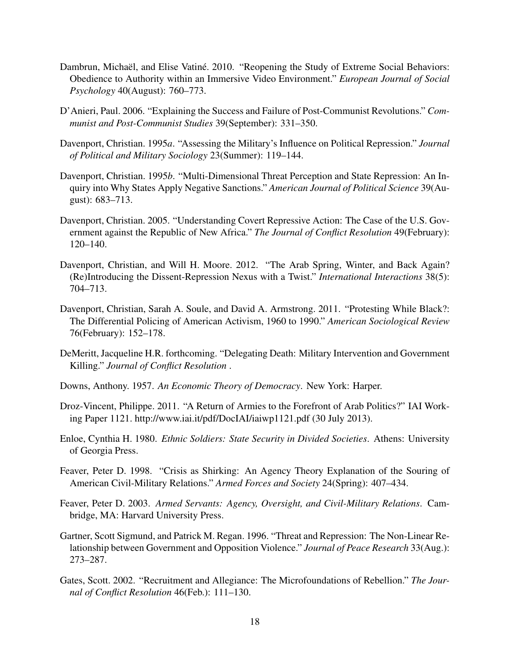- Dambrun, Michaël, and Elise Vatiné. 2010. "Reopening the Study of Extreme Social Behaviors: Obedience to Authority within an Immersive Video Environment." *European Journal of Social Psychology* 40(August): 760–773.
- D'Anieri, Paul. 2006. "Explaining the Success and Failure of Post-Communist Revolutions." *Communist and Post-Communist Studies* 39(September): 331–350.
- Davenport, Christian. 1995*a*. "Assessing the Military's Influence on Political Repression." *Journal of Political and Military Sociology* 23(Summer): 119–144.
- Davenport, Christian. 1995*b*. "Multi-Dimensional Threat Perception and State Repression: An Inquiry into Why States Apply Negative Sanctions." *American Journal of Political Science* 39(August): 683–713.
- Davenport, Christian. 2005. "Understanding Covert Repressive Action: The Case of the U.S. Government against the Republic of New Africa." *The Journal of Conflict Resolution* 49(February): 120–140.
- Davenport, Christian, and Will H. Moore. 2012. "The Arab Spring, Winter, and Back Again? (Re)Introducing the Dissent-Repression Nexus with a Twist." *International Interactions* 38(5): 704–713.
- Davenport, Christian, Sarah A. Soule, and David A. Armstrong. 2011. "Protesting While Black?: The Differential Policing of American Activism, 1960 to 1990." *American Sociological Review* 76(February): 152–178.
- DeMeritt, Jacqueline H.R. forthcoming. "Delegating Death: Military Intervention and Government Killing." *Journal of Conflict Resolution* .
- Downs, Anthony. 1957. *An Economic Theory of Democracy*. New York: Harper.
- Droz-Vincent, Philippe. 2011. "A Return of Armies to the Forefront of Arab Politics?" IAI Working Paper 1121. http://www.iai.it/pdf/DocIAI/iaiwp1121.pdf (30 July 2013).
- Enloe, Cynthia H. 1980. *Ethnic Soldiers: State Security in Divided Societies*. Athens: University of Georgia Press.
- Feaver, Peter D. 1998. "Crisis as Shirking: An Agency Theory Explanation of the Souring of American Civil-Military Relations." *Armed Forces and Society* 24(Spring): 407–434.
- Feaver, Peter D. 2003. *Armed Servants: Agency, Oversight, and Civil-Military Relations*. Cambridge, MA: Harvard University Press.
- Gartner, Scott Sigmund, and Patrick M. Regan. 1996. "Threat and Repression: The Non-Linear Relationship between Government and Opposition Violence." *Journal of Peace Research* 33(Aug.): 273–287.
- Gates, Scott. 2002. "Recruitment and Allegiance: The Microfoundations of Rebellion." *The Journal of Conflict Resolution* 46(Feb.): 111–130.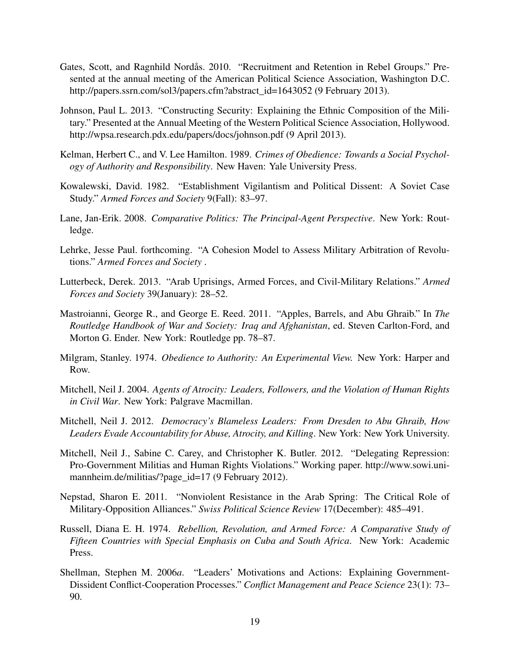- Gates, Scott, and Ragnhild Nordås. 2010. "Recruitment and Retention in Rebel Groups." Presented at the annual meeting of the American Political Science Association, Washington D.C. http://papers.ssrn.com/sol3/papers.cfm?abstract\_id=1643052 (9 February 2013).
- Johnson, Paul L. 2013. "Constructing Security: Explaining the Ethnic Composition of the Military." Presented at the Annual Meeting of the Western Political Science Association, Hollywood. http://wpsa.research.pdx.edu/papers/docs/johnson.pdf (9 April 2013).
- Kelman, Herbert C., and V. Lee Hamilton. 1989. *Crimes of Obedience: Towards a Social Psychology of Authority and Responsibility*. New Haven: Yale University Press.
- Kowalewski, David. 1982. "Establishment Vigilantism and Political Dissent: A Soviet Case Study." *Armed Forces and Society* 9(Fall): 83–97.
- Lane, Jan-Erik. 2008. *Comparative Politics: The Principal-Agent Perspective*. New York: Routledge.
- Lehrke, Jesse Paul. forthcoming. "A Cohesion Model to Assess Military Arbitration of Revolutions." *Armed Forces and Society* .
- Lutterbeck, Derek. 2013. "Arab Uprisings, Armed Forces, and Civil-Military Relations." *Armed Forces and Society* 39(January): 28–52.
- Mastroianni, George R., and George E. Reed. 2011. "Apples, Barrels, and Abu Ghraib." In *The Routledge Handbook of War and Society: Iraq and Afghanistan*, ed. Steven Carlton-Ford, and Morton G. Ender. New York: Routledge pp. 78–87.
- Milgram, Stanley. 1974. *Obedience to Authority: An Experimental View.* New York: Harper and Row.
- Mitchell, Neil J. 2004. *Agents of Atrocity: Leaders, Followers, and the Violation of Human Rights in Civil War*. New York: Palgrave Macmillan.
- Mitchell, Neil J. 2012. *Democracy's Blameless Leaders: From Dresden to Abu Ghraib, How Leaders Evade Accountability for Abuse, Atrocity, and Killing*. New York: New York University.
- Mitchell, Neil J., Sabine C. Carey, and Christopher K. Butler. 2012. "Delegating Repression: Pro-Government Militias and Human Rights Violations." Working paper. http://www.sowi.unimannheim.de/militias/?page\_id=17 (9 February 2012).
- Nepstad, Sharon E. 2011. "Nonviolent Resistance in the Arab Spring: The Critical Role of Military-Opposition Alliances." *Swiss Political Science Review* 17(December): 485–491.
- Russell, Diana E. H. 1974. *Rebellion, Revolution, and Armed Force: A Comparative Study of Fifteen Countries with Special Emphasis on Cuba and South Africa*. New York: Academic Press.
- Shellman, Stephen M. 2006*a*. "Leaders' Motivations and Actions: Explaining Government-Dissident Conflict-Cooperation Processes." *Conflict Management and Peace Science* 23(1): 73– 90.